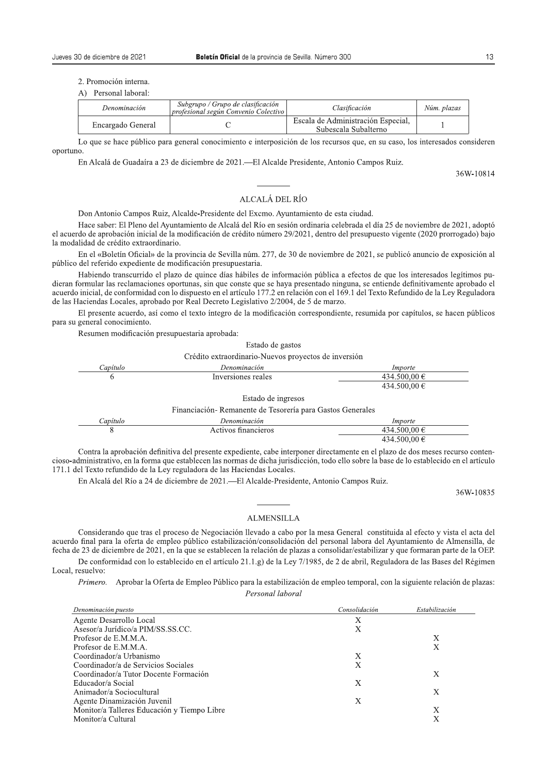2. Promoción interna.

| 4) Personal laboral |  |
|---------------------|--|

| Denominación      | Subgrupo / Grupo de clasificación<br>profesional según Convenio Colectivo | Clasificación                                              | Núm. plazas |
|-------------------|---------------------------------------------------------------------------|------------------------------------------------------------|-------------|
| Encargado General |                                                                           | Escala de Administración Especial,<br>Subescala Subalterno |             |

Lo que se hace público para general conocimiento e interposición de los recursos que, en su caso, los interesados consideren oportuno.

En Alcalá de Guadaíra a 23 de diciembre de 2021.—El Alcalde Presidente, Antonio Campos Ruiz.

36W-10814

## ALCALÁ DEL RÍO

Don Antonio Campos Ruiz, Alcalde-Presidente del Excmo. Ayuntamiento de esta ciudad.

Hace saber: El Pleno del Avuntamiento de Alcalá del Río en sesión ordinaria celebrada el día 25 de noviembre de 2021, adoptó el acuerdo de aprobación inicial de la modificación de crédito número 29/2021, dentro del presupuesto vigente (2020 prorrogado) bajo la modalidad de crédito extraordinario.

En el «Boletín Oficial» de la provincia de Sevilla núm. 277, de 30 de noviembre de 2021, se publicó anuncio de exposición al público del referido expediente de modificación presupuestaria.

Habiendo transcurrido el plazo de quince días hábiles de información pública a efectos de que los interesados legítimos pudieran formular las reclamaciones oportunas, sin que conste que se haya presentado ninguna, se entiende definitivamente aprobado el acuerdo inicial, de conformidad con lo dispuesto en el artículo 177.2 en relación con el 169.1 del Texto Refundido de la Ley Reguladora de las Haciendas Locales, aprobado por Real Decreto Legislativo 2/2004, de 5 de marzo.

El presente acuerdo, así como el texto íntegro de la modificación correspondiente, resumida por capítulos, se hacen públicos para su general conocimiento.

Resumen modificación presupuestaria aprobada:

Estado de gastos

Crédito extraordinario-Nuevos proyectos de inversión

| .apitulo | Denominación       | Importe                    |
|----------|--------------------|----------------------------|
|          | Inversiones reales | 500 00 €<br>434            |
|          |                    | 500.00 $\in$<br>434<br>. J |

Estado de ingresos

Financiación-Remanente de Tesorería para Gastos Generales

| <i>apitule</i> | Denominación         | <i>Importe</i>              |
|----------------|----------------------|-----------------------------|
|                | mancieros<br>Activos | .a 00 G<br>34<br><u>. .</u> |
|                |                      | $\Omega$<br>34              |

Contra la aprobación definitiva del presente expediente, cabe interponer directamente en el plazo de dos meses recurso contencioso-administrativo, en la forma que establecen las normas de dicha jurisdicción, todo ello sobre la base de lo establecido en el artículo 171.1 del Texto refundido de la Ley reguladora de las Haciendas Locales.

En Alcalá del Río a 24 de diciembre de 2021. - El Alcalde-Presidente, Antonio Campos Ruiz.

36W-10835

## **ALMENSILLA**

Considerando que tras el proceso de Negociación llevado a cabo por la mesa General constituida al efecto y vista el acta del acuerdo final para la oferta de empleo público estabilización/consolidación del personal labora del Ayuntamiento de Almensilla, de fecha de 23 de diciembre de 2021, en la que se establecen la relación de plazas a consolidar/estabilizar y que formaran parte de la OEP.

De conformidad con lo establecido en el artículo 21.1.g) de la Ley 7/1985, de 2 de abril, Reguladora de las Bases del Régimen Local, resuelvo:

Primero. Aprobar la Oferta de Empleo Público para la estabilización de empleo temporal, con la siguiente relación de plazas: Personal laboral

| Denominación puesto                         | Consolidación | Estabilización |
|---------------------------------------------|---------------|----------------|
| Agente Desarrollo Local                     | Х             |                |
| Asesor/a Jurídico/a PIM/SS.SS.CC.           | X             |                |
| Profesor de E.M.M.A.                        |               | Х              |
| Profesor de E.M.M.A.                        |               | Х              |
| Coordinador/a Urbanismo                     | Х             |                |
| Coordinador/a de Servicios Sociales         | Х             |                |
| Coordinador/a Tutor Docente Formación       |               | Х              |
| Educador/a Social                           | Х             |                |
| Animador/a Sociocultural                    |               | Х              |
| Agente Dinamización Juvenil                 | Х             |                |
| Monitor/a Talleres Educación y Tiempo Libre |               | Х              |
| Monitor/a Cultural                          |               |                |